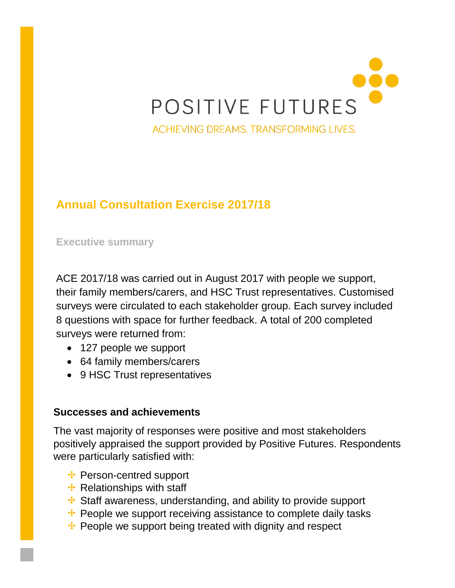# POSITIVE FUTURES ACHIEVING DREAMS. TRANSFORMING LIVES.

#### **Annual Consultation Exercise 2017/18**

**Executive summary**

ACE 2017/18 was carried out in August 2017 with people we support, their family members/carers, and HSC Trust representatives. Customised surveys were circulated to each stakeholder group. Each survey included 8 questions with space for further feedback. A total of 200 completed surveys were returned from:

- 127 people we support
- 64 family members/carers
- 9 HSC Trust representatives

#### **Successes and achievements**

The vast majority of responses were positive and most stakeholders positively appraised the support provided by Positive Futures. Respondents were particularly satisfied with:

- **:** Person-centred support
- **:** Relationships with staff
- Staff awareness, understanding, and ability to provide support
- •• People we support receiving assistance to complete daily tasks
- **:** People we support being treated with dignity and respect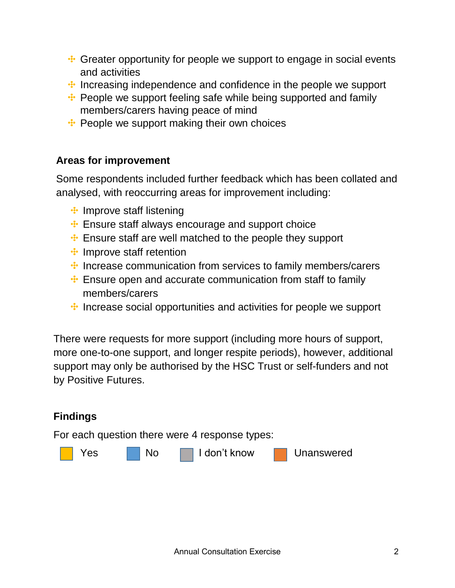- Greater opportunity for people we support to engage in social events and activities
- **:** Increasing independence and confidence in the people we support
- •• People we support feeling safe while being supported and family members/carers having peace of mind
- **••** People we support making their own choices

#### **Areas for improvement**

Some respondents included further feedback which has been collated and analysed, with reoccurring areas for improvement including:

- **:** Improve staff listening
- **Ensure staff always encourage and support choice**
- Ensure staff are well matched to the people they support
- **:** Improve staff retention
- $\cdot$  Increase communication from services to family members/carers
- **Ensure open and accurate communication from staff to family** members/carers
- $\cdot$  Increase social opportunities and activities for people we support

There were requests for more support (including more hours of support, more one-to-one support, and longer respite periods), however, additional support may only be authorised by the HSC Trust or self-funders and not by Positive Futures.

## **Findings** For each question there were 4 response types: Yes No I don't know Unanswered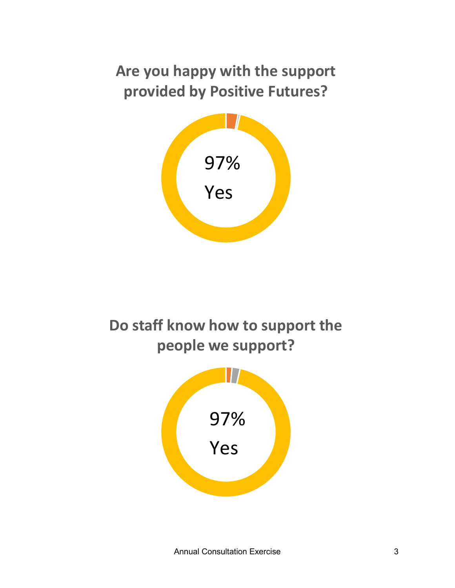## **Are you happy with the support provided by Positive Futures?**



**Do staff know how to support the people we support?**

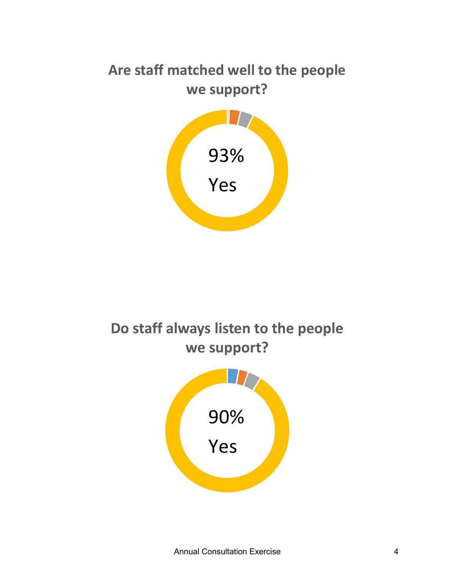## **Are staff matched well to the people we support?**



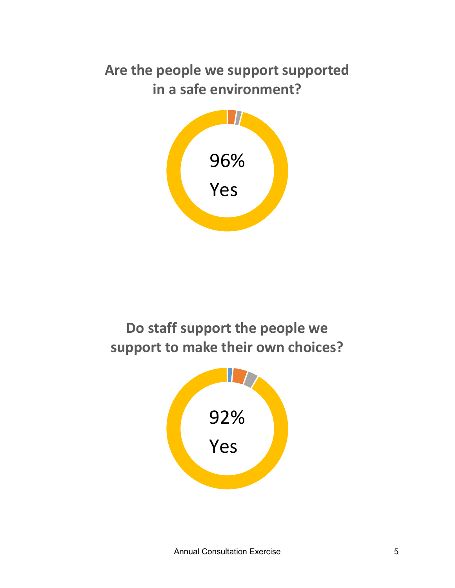### **Are the people we support supported in a safe environment?**



**Do staff support the people we support to make their own choices?**